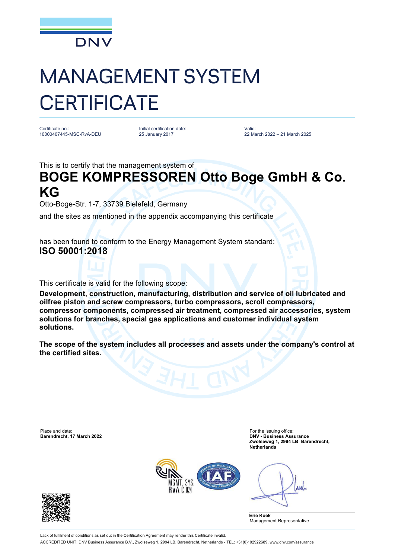

## MANAGEMENT SYSTEM **CERTIFICATE**

Certificate no.: 10000407445-MSC-RvA-DEU Initial certification date: 25 January 2017

Valid: 22 March 2022 – 21 March 2025

This is to certify that the management system of

## **BOGE KOMPRESSOREN Otto Boge GmbH & Co. KG**

Otto-Boge-Str. 1-7, 33739 Bielefeld, Germany

and the sites as mentioned in the appendix accompanying this certificate

has been found to conform to the Energy Management System standard: **ISO 50001:2018**

This certificate is valid for the following scope:

**Development, construction, manufacturing, distribution and service of oil lubricated and oilfree piston and screw compressors, turbo compressors, scroll compressors, compressor components, compressed air treatment, compressed air accessories, system solutions for branches, special gas applications and customer individual system solutions.**

**The scope of the system includes all processes and assets under the company's control at the certified sites.**

Place and date: For the issuing office: For the issuing office: For the issuing office: **Barendrecht, 17 March 2022** 

**Zwolseweg 1, 2994 LB Barendrecht, Netherlands**



Anel

**Erie Koek** Management Representative



Lack of fulfilment of conditions as set out in the Certification Agreement may render this Certificate invalid ACCREDITED UNIT: DNV Business Assurance B.V., Zwolseweg 1, 2994 LB, Barendrecht, Netherlands - TEL: +31(0)102922689. [www.dnv.com/assurance](http://www.dnv.com/assurance)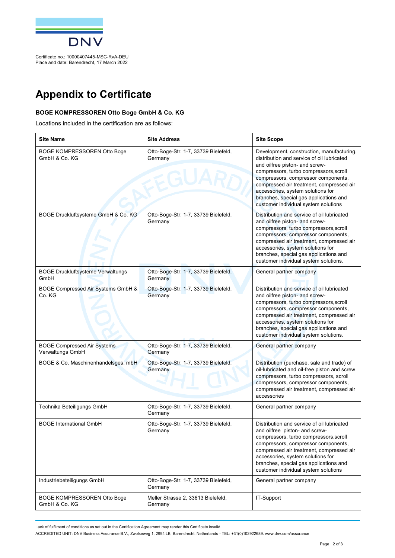

Place and date: Barendrecht, 17 March 2022

## **Appendix to Certificate**

## **BOGE KOMPRESSOREN Otto Boge GmbH & Co. KG**

Locations included in the certification are as follows:

| <b>Site Name</b>                                       | <b>Site Address</b>                             | <b>Site Scope</b>                                                                                                                                                                                                                                                                                                                                                             |
|--------------------------------------------------------|-------------------------------------------------|-------------------------------------------------------------------------------------------------------------------------------------------------------------------------------------------------------------------------------------------------------------------------------------------------------------------------------------------------------------------------------|
| BOGE KOMPRESSOREN Otto Boge<br>GmbH & Co. KG           | Otto-Boge-Str. 1-7, 33739 Bielefeld,<br>Germany | Development, construction, manufacturing,<br>distribution and service of oil lubricated<br>and oilfree piston- and screw-<br>compressors, turbo compressors, scroll<br>compressors, compressor components,<br>compressed air treatment, compressed air<br>accessories, system solutions for<br>branches, special gas applications and<br>customer individual system solutions |
| BOGE Druckluftsysteme GmbH & Co. KG                    | Otto-Boge-Str. 1-7, 33739 Bielefeld,<br>Germany | Distribution and service of oil lubricated<br>and oilfree piston- and screw-<br>compressors, turbo compressors, scroll<br>compressors, compressor components,<br>compressed air treatment, compressed air<br>accessories, system solutions for<br>branches, special gas applications and<br>customer individual system solutions.                                             |
| <b>BOGE Druckluftsysteme Verwaltungs</b><br>GmbH       | Otto-Boge-Str. 1-7, 33739 Bielefeld,<br>Germany | General partner company                                                                                                                                                                                                                                                                                                                                                       |
| BOGE Compressed Air Systems GmbH &<br>Co. KG           | Otto-Boge-Str. 1-7, 33739 Bielefeld,<br>Germany | Distribution and service of oil lubricated<br>and oilfree piston- and screw-<br>compressors, turbo compressors, scroll<br>compressors, compressor components,<br>compressed air treatment, compressed air<br>accessories, system solutions for<br>branches, special gas applications and<br>customer individual system solutions.                                             |
| <b>BOGE Compressed Air Systems</b><br>Verwaltungs GmbH | Otto-Boge-Str. 1-7, 33739 Bielefeld,<br>Germany | General partner company                                                                                                                                                                                                                                                                                                                                                       |
| BOGE & Co. Maschinenhandelsges. mbH                    | Otto-Boge-Str. 1-7, 33739 Bielefeld,<br>Germany | Distribution (purchase, sale and trade) of<br>oil-lubricated and oil-free piston and screw<br>compressors, turbo compressors, scroll<br>compressors, compressor components,<br>compressed air treatment, compressed air<br>accessories                                                                                                                                        |
| Technika Beteiligungs GmbH                             | Otto-Boge-Str. 1-7, 33739 Bielefeld,<br>Germany | General partner company                                                                                                                                                                                                                                                                                                                                                       |
| <b>BOGE International GmbH</b>                         | Otto-Boge-Str. 1-7, 33739 Bielefeld,<br>Germany | Distribution and service of oil lubricated<br>and oilfree piston- and screw-<br>compressors, turbo compressors, scroll<br>compressors, compressor components,<br>compressed air treatment, compressed air<br>accessories, system solutions for<br>branches, special gas applications and<br>customer individual system solutions                                              |
| Industriebeteiligungs GmbH                             | Otto-Boge-Str. 1-7, 33739 Bielefeld,<br>Germany | General partner company                                                                                                                                                                                                                                                                                                                                                       |
| <b>BOGE KOMPRESSOREN Otto Boge</b><br>GmbH & Co. KG    | Meller Strasse 2, 33613 Bielefeld,<br>Germany   | IT-Support                                                                                                                                                                                                                                                                                                                                                                    |

Lack of fulfilment of conditions as set out in the Certification Agreement may render this Certificate invalid.

ACCREDITED UNIT: DNV Business Assurance B.V., Zwolseweg 1, 2994 LB, Barendrecht, Netherlands - TEL: +31(0)102922689. [www.dnv.com/assurance](http://www.dnv.com/assurance)